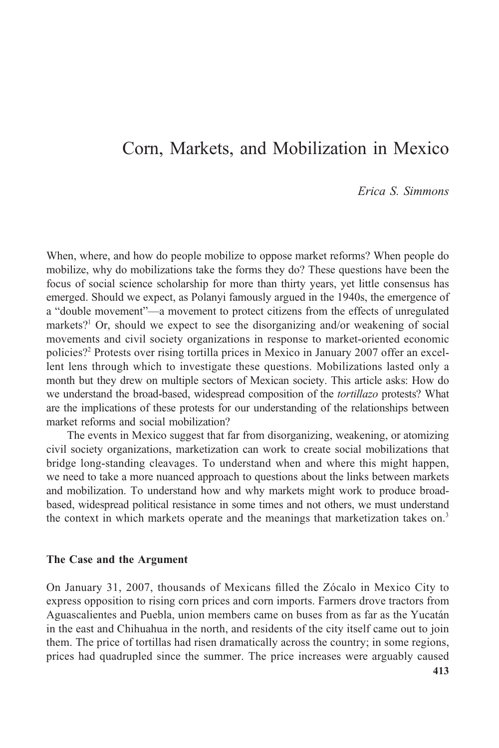# Corn, Markets, and Mobilization in Mexico

Erica S. Simmons

When, where, and how do people mobilize to oppose market reforms? When people do mobilize, why do mobilizations take the forms they do? These questions have been the focus of social science scholarship for more than thirty years, yet little consensus has emerged. Should we expect, as Polanyi famously argued in the 1940s, the emergence of a "double movement"—a movement to protect citizens from the effects of unregulated markets?<sup>1</sup> Or, should we expect to see the disorganizing and/or weakening of social movements and civil society organizations in response to market-oriented economic policies?2 Protests over rising tortilla prices in Mexico in January 2007 offer an excellent lens through which to investigate these questions. Mobilizations lasted only a month but they drew on multiple sectors of Mexican society. This article asks: How do we understand the broad-based, widespread composition of the tortillazo protests? What are the implications of these protests for our understanding of the relationships between market reforms and social mobilization?

The events in Mexico suggest that far from disorganizing, weakening, or atomizing civil society organizations, marketization can work to create social mobilizations that bridge long-standing cleavages. To understand when and where this might happen, we need to take a more nuanced approach to questions about the links between markets and mobilization. To understand how and why markets might work to produce broadbased, widespread political resistance in some times and not others, we must understand the context in which markets operate and the meanings that marketization takes on.<sup>3</sup>

#### The Case and the Argument

On January 31, 2007, thousands of Mexicans filled the Zócalo in Mexico City to express opposition to rising corn prices and corn imports. Farmers drove tractors from Aguascalientes and Puebla, union members came on buses from as far as the Yucatán in the east and Chihuahua in the north, and residents of the city itself came out to join them. The price of tortillas had risen dramatically across the country; in some regions, prices had quadrupled since the summer. The price increases were arguably caused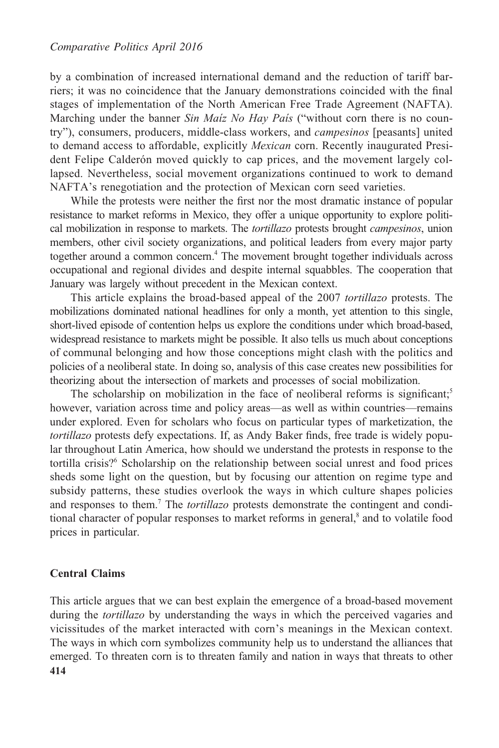by a combination of increased international demand and the reduction of tariff barriers; it was no coincidence that the January demonstrations coincided with the final stages of implementation of the North American Free Trade Agreement (NAFTA). Marching under the banner Sin Maíz No Hay País ("without corn there is no country"), consumers, producers, middle-class workers, and *campesinos* [peasants] united to demand access to affordable, explicitly *Mexican* corn. Recently inaugurated President Felipe Calderón moved quickly to cap prices, and the movement largely collapsed. Nevertheless, social movement organizations continued to work to demand NAFTA's renegotiation and the protection of Mexican corn seed varieties.

While the protests were neither the first nor the most dramatic instance of popular resistance to market reforms in Mexico, they offer a unique opportunity to explore political mobilization in response to markets. The tortillazo protests brought campesinos, union members, other civil society organizations, and political leaders from every major party together around a common concern.4 The movement brought together individuals across occupational and regional divides and despite internal squabbles. The cooperation that January was largely without precedent in the Mexican context.

This article explains the broad-based appeal of the 2007 tortillazo protests. The mobilizations dominated national headlines for only a month, yet attention to this single, short-lived episode of contention helps us explore the conditions under which broad-based, widespread resistance to markets might be possible. It also tells us much about conceptions of communal belonging and how those conceptions might clash with the politics and policies of a neoliberal state. In doing so, analysis of this case creates new possibilities for theorizing about the intersection of markets and processes of social mobilization.

The scholarship on mobilization in the face of neoliberal reforms is significant;<sup>5</sup> however, variation across time and policy areas—as well as within countries—remains under explored. Even for scholars who focus on particular types of marketization, the tortillazo protests defy expectations. If, as Andy Baker finds, free trade is widely popular throughout Latin America, how should we understand the protests in response to the tortilla crisis?6 Scholarship on the relationship between social unrest and food prices sheds some light on the question, but by focusing our attention on regime type and subsidy patterns, these studies overlook the ways in which culture shapes policies and responses to them.<sup>7</sup> The *tortillazo* protests demonstrate the contingent and conditional character of popular responses to market reforms in general,<sup>8</sup> and to volatile food prices in particular.

#### Central Claims

This article argues that we can best explain the emergence of a broad-based movement during the *tortillazo* by understanding the ways in which the perceived vagaries and vicissitudes of the market interacted with corn's meanings in the Mexican context. The ways in which corn symbolizes community help us to understand the alliances that emerged. To threaten corn is to threaten family and nation in ways that threats to other 414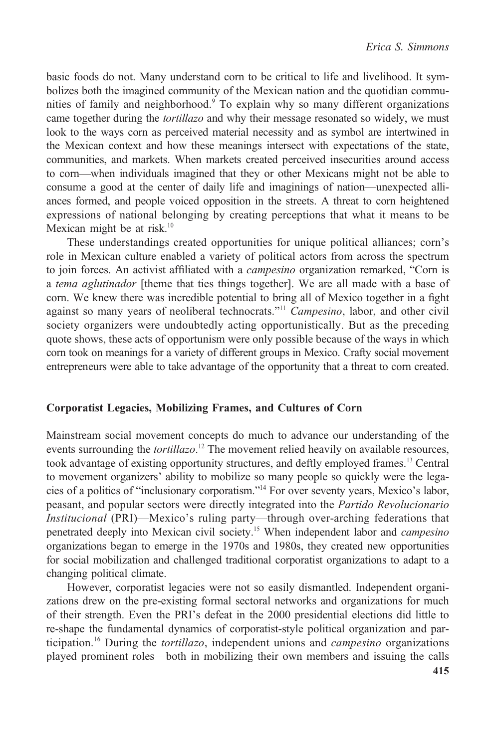basic foods do not. Many understand corn to be critical to life and livelihood. It symbolizes both the imagined community of the Mexican nation and the quotidian communities of family and neighborhood.<sup>9</sup> To explain why so many different organizations came together during the *tortillazo* and why their message resonated so widely, we must look to the ways corn as perceived material necessity and as symbol are intertwined in the Mexican context and how these meanings intersect with expectations of the state, communities, and markets. When markets created perceived insecurities around access to corn—when individuals imagined that they or other Mexicans might not be able to consume a good at the center of daily life and imaginings of nation—unexpected alliances formed, and people voiced opposition in the streets. A threat to corn heightened expressions of national belonging by creating perceptions that what it means to be Mexican might be at risk.<sup>10</sup>

These understandings created opportunities for unique political alliances; corn's role in Mexican culture enabled a variety of political actors from across the spectrum to join forces. An activist affiliated with a *campesino* organization remarked, "Corn is a tema aglutinador [theme that ties things together]. We are all made with a base of corn. We knew there was incredible potential to bring all of Mexico together in a fight against so many years of neoliberal technocrats."<sup>11</sup> Campesino, labor, and other civil society organizers were undoubtedly acting opportunistically. But as the preceding quote shows, these acts of opportunism were only possible because of the ways in which corn took on meanings for a variety of different groups in Mexico. Crafty social movement entrepreneurs were able to take advantage of the opportunity that a threat to corn created.

#### Corporatist Legacies, Mobilizing Frames, and Cultures of Corn

Mainstream social movement concepts do much to advance our understanding of the events surrounding the *tortillazo*.<sup>12</sup> The movement relied heavily on available resources, took advantage of existing opportunity structures, and deftly employed frames.<sup>13</sup> Central to movement organizers' ability to mobilize so many people so quickly were the legacies of a politics of "inclusionary corporatism."<sup>14</sup> For over seventy years, Mexico's labor, peasant, and popular sectors were directly integrated into the *Partido Revolucionario* Institucional (PRI)—Mexico's ruling party—through over-arching federations that penetrated deeply into Mexican civil society.<sup>15</sup> When independent labor and *campesino* organizations began to emerge in the 1970s and 1980s, they created new opportunities for social mobilization and challenged traditional corporatist organizations to adapt to a changing political climate.

However, corporatist legacies were not so easily dismantled. Independent organizations drew on the pre-existing formal sectoral networks and organizations for much of their strength. Even the PRI's defeat in the 2000 presidential elections did little to re-shape the fundamental dynamics of corporatist-style political organization and participation.<sup>16</sup> During the *tortillazo*, independent unions and *campesino* organizations played prominent roles—both in mobilizing their own members and issuing the calls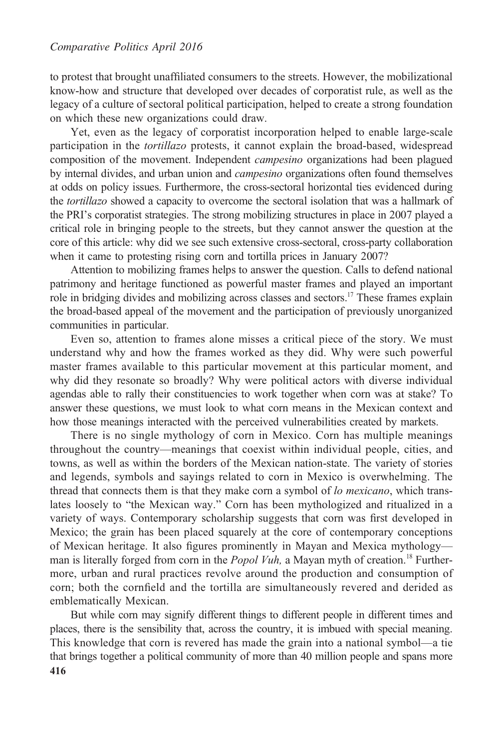to protest that brought unaffiliated consumers to the streets. However, the mobilizational know-how and structure that developed over decades of corporatist rule, as well as the legacy of a culture of sectoral political participation, helped to create a strong foundation on which these new organizations could draw.

Yet, even as the legacy of corporatist incorporation helped to enable large-scale participation in the tortillazo protests, it cannot explain the broad-based, widespread composition of the movement. Independent *campesino* organizations had been plagued by internal divides, and urban union and *campesino* organizations often found themselves at odds on policy issues. Furthermore, the cross-sectoral horizontal ties evidenced during the *tortillazo* showed a capacity to overcome the sectoral isolation that was a hallmark of the PRI's corporatist strategies. The strong mobilizing structures in place in 2007 played a critical role in bringing people to the streets, but they cannot answer the question at the core of this article: why did we see such extensive cross-sectoral, cross-party collaboration when it came to protesting rising corn and tortilla prices in January 2007?

Attention to mobilizing frames helps to answer the question. Calls to defend national patrimony and heritage functioned as powerful master frames and played an important role in bridging divides and mobilizing across classes and sectors.<sup>17</sup> These frames explain the broad-based appeal of the movement and the participation of previously unorganized communities in particular.

Even so, attention to frames alone misses a critical piece of the story. We must understand why and how the frames worked as they did. Why were such powerful master frames available to this particular movement at this particular moment, and why did they resonate so broadly? Why were political actors with diverse individual agendas able to rally their constituencies to work together when corn was at stake? To answer these questions, we must look to what corn means in the Mexican context and how those meanings interacted with the perceived vulnerabilities created by markets.

There is no single mythology of corn in Mexico. Corn has multiple meanings throughout the country—meanings that coexist within individual people, cities, and towns, as well as within the borders of the Mexican nation-state. The variety of stories and legends, symbols and sayings related to corn in Mexico is overwhelming. The thread that connects them is that they make corn a symbol of lo mexicano, which translates loosely to "the Mexican way." Corn has been mythologized and ritualized in a variety of ways. Contemporary scholarship suggests that corn was first developed in Mexico; the grain has been placed squarely at the core of contemporary conceptions of Mexican heritage. It also figures prominently in Mayan and Mexica mythology man is literally forged from corn in the *Popol Vuh*, a Mayan myth of creation.<sup>18</sup> Furthermore, urban and rural practices revolve around the production and consumption of corn; both the cornfield and the tortilla are simultaneously revered and derided as emblematically Mexican.

But while corn may signify different things to different people in different times and places, there is the sensibility that, across the country, it is imbued with special meaning. This knowledge that corn is revered has made the grain into a national symbol—a tie that brings together a political community of more than 40 million people and spans more 416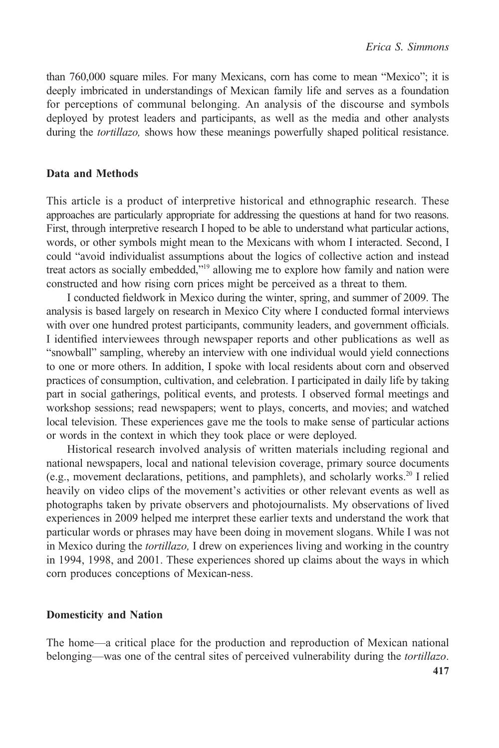than 760,000 square miles. For many Mexicans, corn has come to mean "Mexico"; it is deeply imbricated in understandings of Mexican family life and serves as a foundation for perceptions of communal belonging. An analysis of the discourse and symbols deployed by protest leaders and participants, as well as the media and other analysts during the tortillazo, shows how these meanings powerfully shaped political resistance.

# Data and Methods

This article is a product of interpretive historical and ethnographic research. These approaches are particularly appropriate for addressing the questions at hand for two reasons. First, through interpretive research I hoped to be able to understand what particular actions, words, or other symbols might mean to the Mexicans with whom I interacted. Second, I could "avoid individualist assumptions about the logics of collective action and instead treat actors as socially embedded,"<sup>19</sup> allowing me to explore how family and nation were constructed and how rising corn prices might be perceived as a threat to them.

I conducted fieldwork in Mexico during the winter, spring, and summer of 2009. The analysis is based largely on research in Mexico City where I conducted formal interviews with over one hundred protest participants, community leaders, and government officials. I identified interviewees through newspaper reports and other publications as well as "snowball" sampling, whereby an interview with one individual would yield connections to one or more others. In addition, I spoke with local residents about corn and observed practices of consumption, cultivation, and celebration. I participated in daily life by taking part in social gatherings, political events, and protests. I observed formal meetings and workshop sessions; read newspapers; went to plays, concerts, and movies; and watched local television. These experiences gave me the tools to make sense of particular actions or words in the context in which they took place or were deployed.

Historical research involved analysis of written materials including regional and national newspapers, local and national television coverage, primary source documents (e.g., movement declarations, petitions, and pamphlets), and scholarly works. $20$  I relied heavily on video clips of the movement's activities or other relevant events as well as photographs taken by private observers and photojournalists. My observations of lived experiences in 2009 helped me interpret these earlier texts and understand the work that particular words or phrases may have been doing in movement slogans. While I was not in Mexico during the *tortillazo*, I drew on experiences living and working in the country in 1994, 1998, and 2001. These experiences shored up claims about the ways in which corn produces conceptions of Mexican-ness.

#### Domesticity and Nation

The home—a critical place for the production and reproduction of Mexican national belonging—was one of the central sites of perceived vulnerability during the *tortillazo*.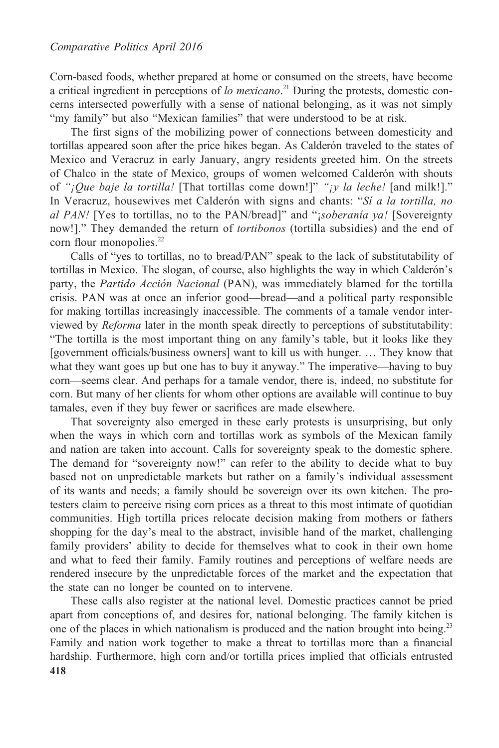Corn-based foods, whether prepared at home or consumed on the streets, have become a critical ingredient in perceptions of lo mexicano.<sup>21</sup> During the protests, domestic concerns intersected powerfully with a sense of national belonging, as it was not simply "my family" but also "Mexican families" that were understood to be at risk.

The first signs of the mobilizing power of connections between domesticity and tortillas appeared soon after the price hikes began. As Calderón traveled to the states of Mexico and Veracruz in early January, angry residents greeted him. On the streets of Chalco in the state of Mexico, groups of women welcomed Calderón with shouts of "¡Que baje la tortilla! [That tortillas come down!]" "¡y la leche! [and milk!]." In Veracruz, housewives met Calderón with signs and chants: "Sí a la tortilla, no al PAN! [Yes to tortillas, no to the PAN/bread]" and "¡soberanía ya! [Sovereignty now!]." They demanded the return of *tortibonos* (tortilla subsidies) and the end of corn flour monopolies. $^{22}$ 

Calls of "yes to tortillas, no to bread/PAN" speak to the lack of substitutability of tortillas in Mexico. The slogan, of course, also highlights the way in which Calderón's party, the Partido Acción Nacional (PAN), was immediately blamed for the tortilla crisis. PAN was at once an inferior good—bread—and a political party responsible for making tortillas increasingly inaccessible. The comments of a tamale vendor interviewed by *Reforma* later in the month speak directly to perceptions of substitutability: "The tortilla is the most important thing on any family's table, but it looks like they [government officials/business owners] want to kill us with hunger. … They know that what they want goes up but one has to buy it anyway." The imperative—having to buy corn—seems clear. And perhaps for a tamale vendor, there is, indeed, no substitute for corn. But many of her clients for whom other options are available will continue to buy tamales, even if they buy fewer or sacrifices are made elsewhere.

That sovereignty also emerged in these early protests is unsurprising, but only when the ways in which corn and tortillas work as symbols of the Mexican family and nation are taken into account. Calls for sovereignty speak to the domestic sphere. The demand for "sovereignty now!" can refer to the ability to decide what to buy based not on unpredictable markets but rather on a family's individual assessment of its wants and needs; a family should be sovereign over its own kitchen. The protesters claim to perceive rising corn prices as a threat to this most intimate of quotidian communities. High tortilla prices relocate decision making from mothers or fathers shopping for the day's meal to the abstract, invisible hand of the market, challenging family providers' ability to decide for themselves what to cook in their own home and what to feed their family. Family routines and perceptions of welfare needs are rendered insecure by the unpredictable forces of the market and the expectation that the state can no longer be counted on to intervene.

These calls also register at the national level. Domestic practices cannot be pried apart from conceptions of, and desires for, national belonging. The family kitchen is one of the places in which nationalism is produced and the nation brought into being.<sup>23</sup> Family and nation work together to make a threat to tortillas more than a financial hardship. Furthermore, high corn and/or tortilla prices implied that officials entrusted 418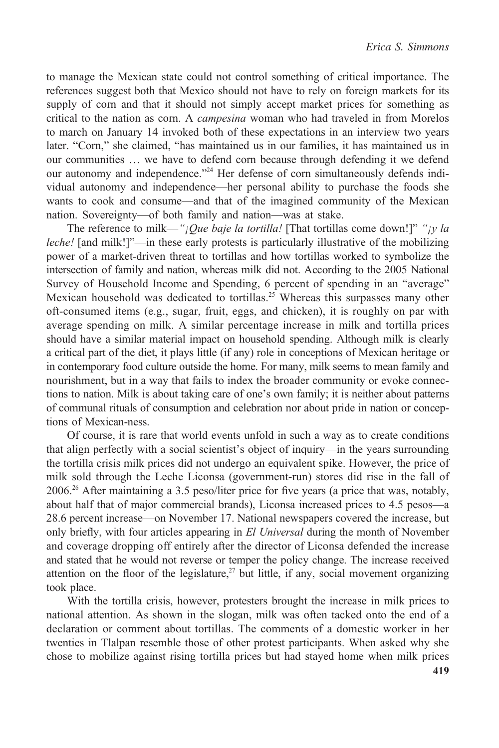to manage the Mexican state could not control something of critical importance. The references suggest both that Mexico should not have to rely on foreign markets for its supply of corn and that it should not simply accept market prices for something as critical to the nation as corn. A campesina woman who had traveled in from Morelos to march on January 14 invoked both of these expectations in an interview two years later. "Corn," she claimed, "has maintained us in our families, it has maintained us in our communities … we have to defend corn because through defending it we defend our autonomy and independence."<sup>24</sup> Her defense of corn simultaneously defends individual autonomy and independence—her personal ability to purchase the foods she wants to cook and consume—and that of the imagined community of the Mexican nation. Sovereignty—of both family and nation—was at stake.

The reference to milk—";Que baje la tortilla! [That tortillas come down!]" ";y la leche! [and milk!]"—in these early protests is particularly illustrative of the mobilizing power of a market-driven threat to tortillas and how tortillas worked to symbolize the intersection of family and nation, whereas milk did not. According to the 2005 National Survey of Household Income and Spending, 6 percent of spending in an "average" Mexican household was dedicated to tortillas.<sup>25</sup> Whereas this surpasses many other oft-consumed items (e.g., sugar, fruit, eggs, and chicken), it is roughly on par with average spending on milk. A similar percentage increase in milk and tortilla prices should have a similar material impact on household spending. Although milk is clearly a critical part of the diet, it plays little (if any) role in conceptions of Mexican heritage or in contemporary food culture outside the home. For many, milk seems to mean family and nourishment, but in a way that fails to index the broader community or evoke connections to nation. Milk is about taking care of one's own family; it is neither about patterns of communal rituals of consumption and celebration nor about pride in nation or conceptions of Mexican-ness.

Of course, it is rare that world events unfold in such a way as to create conditions that align perfectly with a social scientist's object of inquiry—in the years surrounding the tortilla crisis milk prices did not undergo an equivalent spike. However, the price of milk sold through the Leche Liconsa (government-run) stores did rise in the fall of 2006.<sup>26</sup> After maintaining a 3.5 peso/liter price for five years (a price that was, notably, about half that of major commercial brands), Liconsa increased prices to 4.5 pesos—a 28.6 percent increase—on November 17. National newspapers covered the increase, but only briefly, with four articles appearing in El Universal during the month of November and coverage dropping off entirely after the director of Liconsa defended the increase and stated that he would not reverse or temper the policy change. The increase received attention on the floor of the legislature,<sup>27</sup> but little, if any, social movement organizing took place.

With the tortilla crisis, however, protesters brought the increase in milk prices to national attention. As shown in the slogan, milk was often tacked onto the end of a declaration or comment about tortillas. The comments of a domestic worker in her twenties in Tlalpan resemble those of other protest participants. When asked why she chose to mobilize against rising tortilla prices but had stayed home when milk prices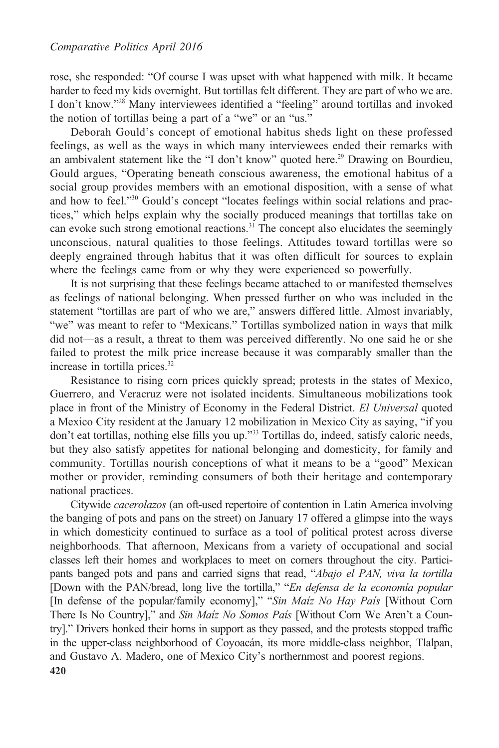rose, she responded: "Of course I was upset with what happened with milk. It became harder to feed my kids overnight. But tortillas felt different. They are part of who we are. I don't know."<sup>28</sup> Many interviewees identified a "feeling" around tortillas and invoked the notion of tortillas being a part of a "we" or an "us."

Deborah Gould's concept of emotional habitus sheds light on these professed feelings, as well as the ways in which many interviewees ended their remarks with an ambivalent statement like the "I don't know" quoted here.<sup>29</sup> Drawing on Bourdieu, Gould argues, "Operating beneath conscious awareness, the emotional habitus of a social group provides members with an emotional disposition, with a sense of what and how to feel.<sup>330</sup> Gould's concept "locates feelings within social relations and practices," which helps explain why the socially produced meanings that tortillas take on can evoke such strong emotional reactions.<sup>31</sup> The concept also elucidates the seemingly unconscious, natural qualities to those feelings. Attitudes toward tortillas were so deeply engrained through habitus that it was often difficult for sources to explain where the feelings came from or why they were experienced so powerfully.

It is not surprising that these feelings became attached to or manifested themselves as feelings of national belonging. When pressed further on who was included in the statement "tortillas are part of who we are," answers differed little. Almost invariably, "we" was meant to refer to "Mexicans." Tortillas symbolized nation in ways that milk did not—as a result, a threat to them was perceived differently. No one said he or she failed to protest the milk price increase because it was comparably smaller than the increase in tortilla prices.<sup>32</sup>

Resistance to rising corn prices quickly spread; protests in the states of Mexico, Guerrero, and Veracruz were not isolated incidents. Simultaneous mobilizations took place in front of the Ministry of Economy in the Federal District. El Universal quoted a Mexico City resident at the January 12 mobilization in Mexico City as saying, "if you don't eat tortillas, nothing else fills you up."<sup>33</sup> Tortillas do, indeed, satisfy caloric needs, but they also satisfy appetites for national belonging and domesticity, for family and community. Tortillas nourish conceptions of what it means to be a "good" Mexican mother or provider, reminding consumers of both their heritage and contemporary national practices.

Citywide cacerolazos (an oft-used repertoire of contention in Latin America involving the banging of pots and pans on the street) on January 17 offered a glimpse into the ways in which domesticity continued to surface as a tool of political protest across diverse neighborhoods. That afternoon, Mexicans from a variety of occupational and social classes left their homes and workplaces to meet on corners throughout the city. Participants banged pots and pans and carried signs that read, "Abajo el PAN, viva la tortilla [Down with the PAN/bread, long live the tortilla," "En defensa de la economía popular [In defense of the popular/family economy]," "Sin Maíz No Hay País [Without Corn There Is No Country]," and Sin Maíz No Somos País [Without Corn We Aren't a Country]." Drivers honked their horns in support as they passed, and the protests stopped traffic in the upper-class neighborhood of Coyoacán, its more middle-class neighbor, Tlalpan, and Gustavo A. Madero, one of Mexico City's northernmost and poorest regions. 420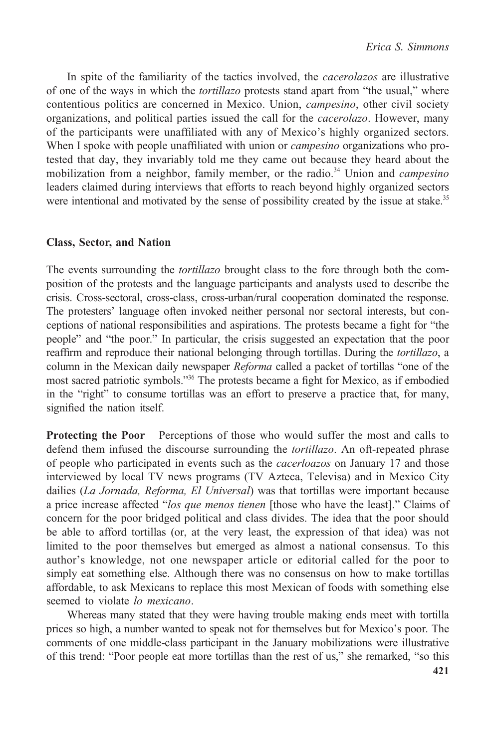In spite of the familiarity of the tactics involved, the cacerolazos are illustrative of one of the ways in which the tortillazo protests stand apart from "the usual," where contentious politics are concerned in Mexico. Union, *campesino*, other civil society organizations, and political parties issued the call for the cacerolazo. However, many of the participants were unaffiliated with any of Mexico's highly organized sectors. When I spoke with people unaffiliated with union or *campesino* organizations who protested that day, they invariably told me they came out because they heard about the mobilization from a neighbor, family member, or the radio.<sup>34</sup> Union and *campesino* leaders claimed during interviews that efforts to reach beyond highly organized sectors were intentional and motivated by the sense of possibility created by the issue at stake.<sup>35</sup>

#### Class, Sector, and Nation

The events surrounding the *tortillazo* brought class to the fore through both the composition of the protests and the language participants and analysts used to describe the crisis. Cross-sectoral, cross-class, cross-urban/rural cooperation dominated the response. The protesters' language often invoked neither personal nor sectoral interests, but conceptions of national responsibilities and aspirations. The protests became a fight for "the people" and "the poor." In particular, the crisis suggested an expectation that the poor reaffirm and reproduce their national belonging through tortillas. During the *tortillazo*, a column in the Mexican daily newspaper *Reforma* called a packet of tortillas "one of the most sacred patriotic symbols."<sup>36</sup> The protests became a fight for Mexico, as if embodied in the "right" to consume tortillas was an effort to preserve a practice that, for many, signified the nation itself.

**Protecting the Poor** Perceptions of those who would suffer the most and calls to defend them infused the discourse surrounding the tortillazo. An oft-repeated phrase of people who participated in events such as the *cacerloazos* on January 17 and those interviewed by local TV news programs (TV Azteca, Televisa) and in Mexico City dailies (La Jornada, Reforma, El Universal) was that tortillas were important because a price increase affected "*los que menos tienen* [those who have the least]." Claims of concern for the poor bridged political and class divides. The idea that the poor should be able to afford tortillas (or, at the very least, the expression of that idea) was not limited to the poor themselves but emerged as almost a national consensus. To this author's knowledge, not one newspaper article or editorial called for the poor to simply eat something else. Although there was no consensus on how to make tortillas affordable, to ask Mexicans to replace this most Mexican of foods with something else seemed to violate lo mexicano.

Whereas many stated that they were having trouble making ends meet with tortilla prices so high, a number wanted to speak not for themselves but for Mexico's poor. The comments of one middle-class participant in the January mobilizations were illustrative of this trend: "Poor people eat more tortillas than the rest of us," she remarked, "so this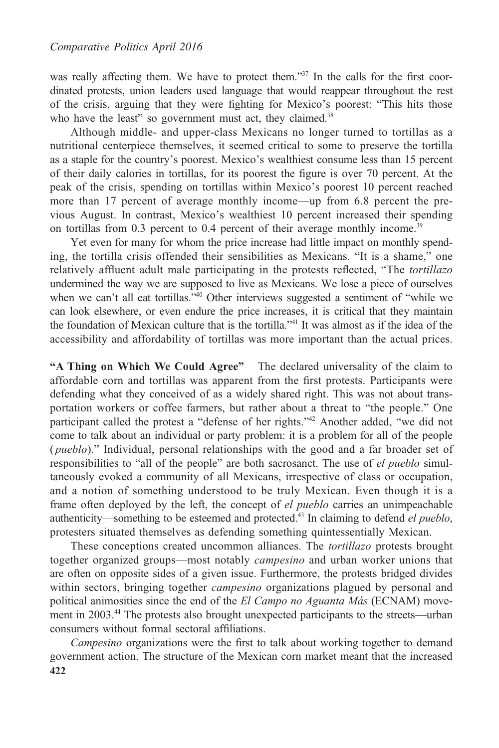was really affecting them. We have to protect them."<sup>37</sup> In the calls for the first coordinated protests, union leaders used language that would reappear throughout the rest of the crisis, arguing that they were fighting for Mexico's poorest: "This hits those who have the least" so government must act, they claimed.<sup>38</sup>

Although middle- and upper-class Mexicans no longer turned to tortillas as a nutritional centerpiece themselves, it seemed critical to some to preserve the tortilla as a staple for the country's poorest. Mexico's wealthiest consume less than 15 percent of their daily calories in tortillas, for its poorest the figure is over 70 percent. At the peak of the crisis, spending on tortillas within Mexico's poorest 10 percent reached more than 17 percent of average monthly income—up from 6.8 percent the previous August. In contrast, Mexico's wealthiest 10 percent increased their spending on tortillas from 0.3 percent to 0.4 percent of their average monthly income.<sup>39</sup>

Yet even for many for whom the price increase had little impact on monthly spending, the tortilla crisis offended their sensibilities as Mexicans. "It is a shame," one relatively affluent adult male participating in the protests reflected, "The *tortillazo* undermined the way we are supposed to live as Mexicans. We lose a piece of ourselves when we can't all eat tortillas."<sup>40</sup> Other interviews suggested a sentiment of "while we can look elsewhere, or even endure the price increases, it is critical that they maintain the foundation of Mexican culture that is the tortilla."<sup>41</sup> It was almost as if the idea of the accessibility and affordability of tortillas was more important than the actual prices.

"A Thing on Which We Could Agree" The declared universality of the claim to affordable corn and tortillas was apparent from the first protests. Participants were defending what they conceived of as a widely shared right. This was not about transportation workers or coffee farmers, but rather about a threat to "the people." One participant called the protest a "defense of her rights."<sup>42</sup> Another added, "we did not come to talk about an individual or party problem: it is a problem for all of the people (*pueblo*)." Individual, personal relationships with the good and a far broader set of responsibilities to "all of the people" are both sacrosanct. The use of el pueblo simultaneously evoked a community of all Mexicans, irrespective of class or occupation, and a notion of something understood to be truly Mexican. Even though it is a frame often deployed by the left, the concept of *el pueblo* carries an unimpeachable authenticity—something to be esteemed and protected.<sup>43</sup> In claiming to defend el pueblo, protesters situated themselves as defending something quintessentially Mexican.

These conceptions created uncommon alliances. The tortillazo protests brought together organized groups—most notably campesino and urban worker unions that are often on opposite sides of a given issue. Furthermore, the protests bridged divides within sectors, bringing together *campesino* organizations plagued by personal and political animosities since the end of the El Campo no Aguanta Más (ECNAM) movement in 2003.44 The protests also brought unexpected participants to the streets—urban consumers without formal sectoral affiliations.

Campesino organizations were the first to talk about working together to demand government action. The structure of the Mexican corn market meant that the increased 422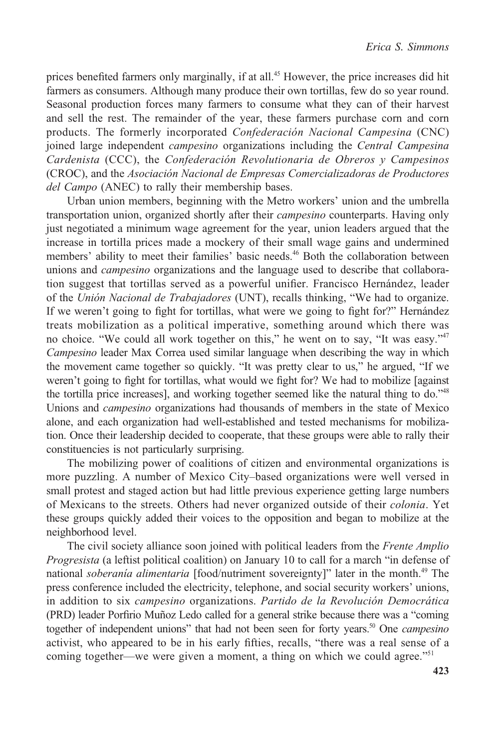prices benefited farmers only marginally, if at all.45 However, the price increases did hit farmers as consumers. Although many produce their own tortillas, few do so year round. Seasonal production forces many farmers to consume what they can of their harvest and sell the rest. The remainder of the year, these farmers purchase corn and corn products. The formerly incorporated Confederación Nacional Campesina (CNC) joined large independent *campesino* organizations including the *Central Campesina* Cardenista (CCC), the Confederación Revolutionaria de Obreros y Campesinos (CROC), and the Asociación Nacional de Empresas Comercializadoras de Productores del Campo (ANEC) to rally their membership bases.

Urban union members, beginning with the Metro workers' union and the umbrella transportation union, organized shortly after their campesino counterparts. Having only just negotiated a minimum wage agreement for the year, union leaders argued that the increase in tortilla prices made a mockery of their small wage gains and undermined members' ability to meet their families' basic needs.<sup>46</sup> Both the collaboration between unions and *campesino* organizations and the language used to describe that collaboration suggest that tortillas served as a powerful unifier. Francisco Hernández, leader of the Unión Nacional de Trabajadores (UNT), recalls thinking, "We had to organize. If we weren't going to fight for tortillas, what were we going to fight for?" Hernández treats mobilization as a political imperative, something around which there was no choice. "We could all work together on this," he went on to say, "It was easy."<sup>47</sup> Campesino leader Max Correa used similar language when describing the way in which the movement came together so quickly. "It was pretty clear to us," he argued, "If we weren't going to fight for tortillas, what would we fight for? We had to mobilize [against the tortilla price increases], and working together seemed like the natural thing to do."<sup>48</sup> Unions and campesino organizations had thousands of members in the state of Mexico alone, and each organization had well-established and tested mechanisms for mobilization. Once their leadership decided to cooperate, that these groups were able to rally their constituencies is not particularly surprising.

The mobilizing power of coalitions of citizen and environmental organizations is more puzzling. A number of Mexico City–based organizations were well versed in small protest and staged action but had little previous experience getting large numbers of Mexicans to the streets. Others had never organized outside of their colonia. Yet these groups quickly added their voices to the opposition and began to mobilize at the neighborhood level.

The civil society alliance soon joined with political leaders from the Frente Amplio Progresista (a leftist political coalition) on January 10 to call for a march "in defense of national *soberanía alimentaria* [food/nutriment sovereignty]" later in the month.<sup>49</sup> The press conference included the electricity, telephone, and social security workers' unions, in addition to six campesino organizations. Partido de la Revolución Democrática (PRD) leader Porfirio Muñoz Ledo called for a general strike because there was a "coming together of independent unions" that had not been seen for forty years.<sup>50</sup> One *campesino* activist, who appeared to be in his early fifties, recalls, "there was a real sense of a coming together—we were given a moment, a thing on which we could agree."<sup>51</sup>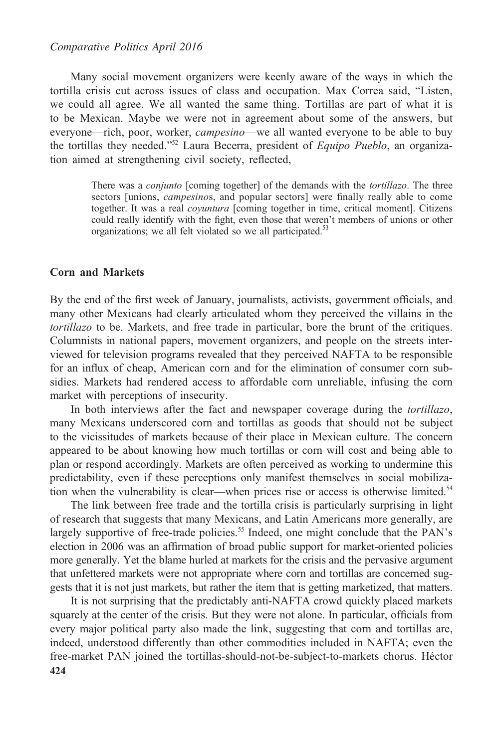# Comparative Politics April 2016

Many social movement organizers were keenly aware of the ways in which the tortilla crisis cut across issues of class and occupation. Max Correa said, "Listen, we could all agree. We all wanted the same thing. Tortillas are part of what it is to be Mexican. Maybe we were not in agreement about some of the answers, but everyone—rich, poor, worker, *campesino*—we all wanted everyone to be able to buy the tortillas they needed."<sup>52</sup> Laura Becerra, president of *Equipo Pueblo*, an organization aimed at strengthening civil society, reflected,

> There was a *conjunto* [coming together] of the demands with the *tortillazo*. The three sectors [unions, *campesinos*, and popular sectors] were finally really able to come together. It was a real *coyuntura* [coming together in time, critical moment]. Citizens could really identify with the fight, even those that weren't members of unions or other organizations; we all felt violated so we all participated.<sup>53</sup>

# Corn and Markets

By the end of the first week of January, journalists, activists, government officials, and many other Mexicans had clearly articulated whom they perceived the villains in the tortillazo to be. Markets, and free trade in particular, bore the brunt of the critiques. Columnists in national papers, movement organizers, and people on the streets interviewed for television programs revealed that they perceived NAFTA to be responsible for an influx of cheap, American corn and for the elimination of consumer corn subsidies. Markets had rendered access to affordable corn unreliable, infusing the corn market with perceptions of insecurity.

In both interviews after the fact and newspaper coverage during the tortillazo, many Mexicans underscored corn and tortillas as goods that should not be subject to the vicissitudes of markets because of their place in Mexican culture. The concern appeared to be about knowing how much tortillas or corn will cost and being able to plan or respond accordingly. Markets are often perceived as working to undermine this predictability, even if these perceptions only manifest themselves in social mobilization when the vulnerability is clear—when prices rise or access is otherwise limited.<sup>54</sup>

The link between free trade and the tortilla crisis is particularly surprising in light of research that suggests that many Mexicans, and Latin Americans more generally, are largely supportive of free-trade policies.<sup>55</sup> Indeed, one might conclude that the PAN's election in 2006 was an affirmation of broad public support for market-oriented policies more generally. Yet the blame hurled at markets for the crisis and the pervasive argument that unfettered markets were not appropriate where corn and tortillas are concerned suggests that it is not just markets, but rather the item that is getting marketized, that matters.

It is not surprising that the predictably anti-NAFTA crowd quickly placed markets squarely at the center of the crisis. But they were not alone. In particular, officials from every major political party also made the link, suggesting that corn and tortillas are, indeed, understood differently than other commodities included in NAFTA; even the free-market PAN joined the tortillas-should-not-be-subject-to-markets chorus. Héctor 424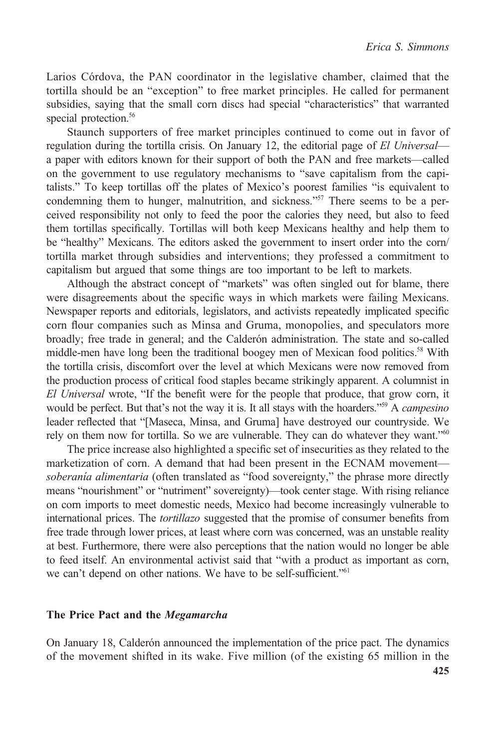Larios Córdova, the PAN coordinator in the legislative chamber, claimed that the tortilla should be an "exception" to free market principles. He called for permanent subsidies, saying that the small corn discs had special "characteristics" that warranted special protection.<sup>56</sup>

Staunch supporters of free market principles continued to come out in favor of regulation during the tortilla crisis. On January 12, the editorial page of El Universal a paper with editors known for their support of both the PAN and free markets—called on the government to use regulatory mechanisms to "save capitalism from the capitalists." To keep tortillas off the plates of Mexico's poorest families "is equivalent to condemning them to hunger, malnutrition, and sickness."<sup>57</sup> There seems to be a perceived responsibility not only to feed the poor the calories they need, but also to feed them tortillas specifically. Tortillas will both keep Mexicans healthy and help them to be "healthy" Mexicans. The editors asked the government to insert order into the corn/ tortilla market through subsidies and interventions; they professed a commitment to capitalism but argued that some things are too important to be left to markets.

Although the abstract concept of "markets" was often singled out for blame, there were disagreements about the specific ways in which markets were failing Mexicans. Newspaper reports and editorials, legislators, and activists repeatedly implicated specific corn flour companies such as Minsa and Gruma, monopolies, and speculators more broadly; free trade in general; and the Calderón administration. The state and so-called middle-men have long been the traditional boogey men of Mexican food politics.<sup>58</sup> With the tortilla crisis, discomfort over the level at which Mexicans were now removed from the production process of critical food staples became strikingly apparent. A columnist in El Universal wrote, "If the benefit were for the people that produce, that grow corn, it would be perfect. But that's not the way it is. It all stays with the hoarders."<sup>59</sup> A *campesino* leader reflected that "[Maseca, Minsa, and Gruma] have destroyed our countryside. We rely on them now for tortilla. So we are vulnerable. They can do whatever they want."<sup>60</sup>

The price increase also highlighted a specific set of insecurities as they related to the marketization of corn. A demand that had been present in the ECNAM movement soberanía alimentaria (often translated as "food sovereignty," the phrase more directly means "nourishment" or "nutriment" sovereignty)—took center stage. With rising reliance on corn imports to meet domestic needs, Mexico had become increasingly vulnerable to international prices. The *tortillazo* suggested that the promise of consumer benefits from free trade through lower prices, at least where corn was concerned, was an unstable reality at best. Furthermore, there were also perceptions that the nation would no longer be able to feed itself. An environmental activist said that "with a product as important as corn, we can't depend on other nations. We have to be self-sufficient."<sup>61</sup>

#### The Price Pact and the *Megamarcha*

On January 18, Calderón announced the implementation of the price pact. The dynamics of the movement shifted in its wake. Five million (of the existing 65 million in the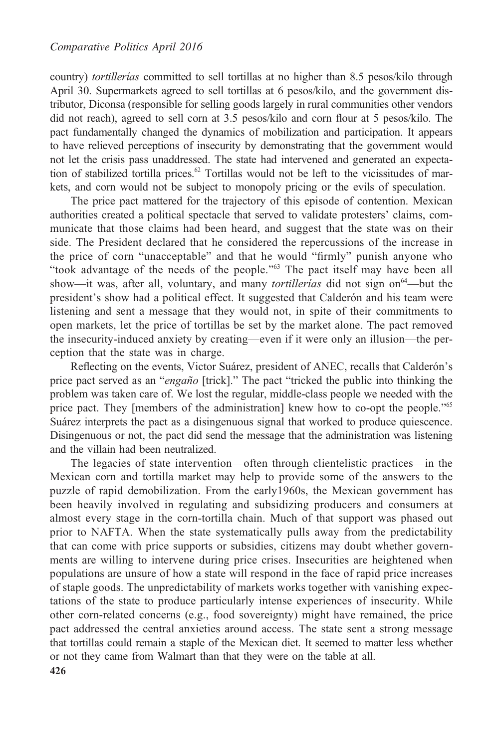country) tortillerías committed to sell tortillas at no higher than 8.5 pesos/kilo through April 30. Supermarkets agreed to sell tortillas at 6 pesos/kilo, and the government distributor, Diconsa (responsible for selling goods largely in rural communities other vendors did not reach), agreed to sell corn at 3.5 pesos/kilo and corn flour at 5 pesos/kilo. The pact fundamentally changed the dynamics of mobilization and participation. It appears to have relieved perceptions of insecurity by demonstrating that the government would not let the crisis pass unaddressed. The state had intervened and generated an expectation of stabilized tortilla prices.<sup>62</sup> Tortillas would not be left to the vicissitudes of markets, and corn would not be subject to monopoly pricing or the evils of speculation.

The price pact mattered for the trajectory of this episode of contention. Mexican authorities created a political spectacle that served to validate protesters' claims, communicate that those claims had been heard, and suggest that the state was on their side. The President declared that he considered the repercussions of the increase in the price of corn "unacceptable" and that he would "firmly" punish anyone who "took advantage of the needs of the people."<sup>63</sup> The pact itself may have been all show—it was, after all, voluntary, and many *tortillerias* did not sign on<sup>64</sup>—but the president's show had a political effect. It suggested that Calderón and his team were listening and sent a message that they would not, in spite of their commitments to open markets, let the price of tortillas be set by the market alone. The pact removed the insecurity-induced anxiety by creating—even if it were only an illusion—the perception that the state was in charge.

Reflecting on the events, Victor Suárez, president of ANEC, recalls that Calderón's price pact served as an "*engaño* [trick]." The pact "tricked the public into thinking the problem was taken care of. We lost the regular, middle-class people we needed with the price pact. They [members of the administration] knew how to co-opt the people."<sup>65</sup> Suárez interprets the pact as a disingenuous signal that worked to produce quiescence. Disingenuous or not, the pact did send the message that the administration was listening and the villain had been neutralized.

The legacies of state intervention—often through clientelistic practices—in the Mexican corn and tortilla market may help to provide some of the answers to the puzzle of rapid demobilization. From the early1960s, the Mexican government has been heavily involved in regulating and subsidizing producers and consumers at almost every stage in the corn-tortilla chain. Much of that support was phased out prior to NAFTA. When the state systematically pulls away from the predictability that can come with price supports or subsidies, citizens may doubt whether governments are willing to intervene during price crises. Insecurities are heightened when populations are unsure of how a state will respond in the face of rapid price increases of staple goods. The unpredictability of markets works together with vanishing expectations of the state to produce particularly intense experiences of insecurity. While other corn-related concerns (e.g., food sovereignty) might have remained, the price pact addressed the central anxieties around access. The state sent a strong message that tortillas could remain a staple of the Mexican diet. It seemed to matter less whether or not they came from Walmart than that they were on the table at all.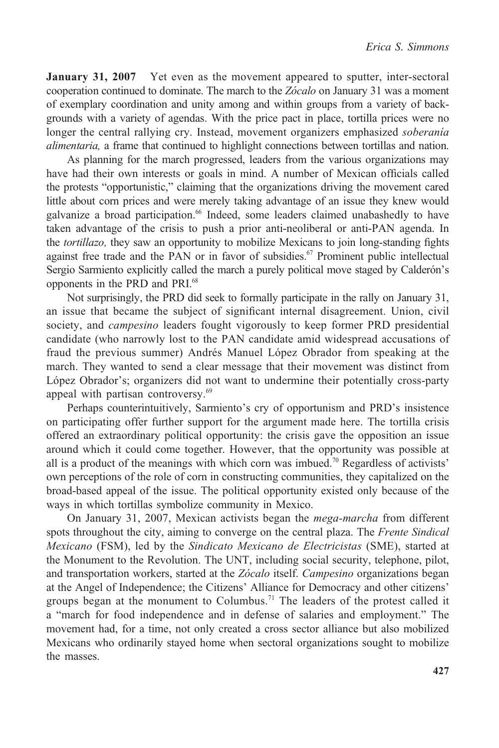January 31, 2007 Yet even as the movement appeared to sputter, inter-sectoral cooperation continued to dominate. The march to the Zócalo on January 31 was a moment of exemplary coordination and unity among and within groups from a variety of backgrounds with a variety of agendas. With the price pact in place, tortilla prices were no longer the central rallying cry. Instead, movement organizers emphasized soberanía alimentaria, a frame that continued to highlight connections between tortillas and nation.

As planning for the march progressed, leaders from the various organizations may have had their own interests or goals in mind. A number of Mexican officials called the protests "opportunistic," claiming that the organizations driving the movement cared little about corn prices and were merely taking advantage of an issue they knew would galvanize a broad participation.<sup>66</sup> Indeed, some leaders claimed unabashedly to have taken advantage of the crisis to push a prior anti-neoliberal or anti-PAN agenda. In the *tortillazo*, they saw an opportunity to mobilize Mexicans to join long-standing fights against free trade and the PAN or in favor of subsidies. $67$  Prominent public intellectual Sergio Sarmiento explicitly called the march a purely political move staged by Calderón's opponents in the PRD and PRI.68

Not surprisingly, the PRD did seek to formally participate in the rally on January 31, an issue that became the subject of significant internal disagreement. Union, civil society, and *campesino* leaders fought vigorously to keep former PRD presidential candidate (who narrowly lost to the PAN candidate amid widespread accusations of fraud the previous summer) Andrés Manuel López Obrador from speaking at the march. They wanted to send a clear message that their movement was distinct from López Obrador's; organizers did not want to undermine their potentially cross-party appeal with partisan controversy.<sup>69</sup>

Perhaps counterintuitively, Sarmiento's cry of opportunism and PRD's insistence on participating offer further support for the argument made here. The tortilla crisis offered an extraordinary political opportunity: the crisis gave the opposition an issue around which it could come together. However, that the opportunity was possible at all is a product of the meanings with which corn was imbued.<sup>70</sup> Regardless of activists' own perceptions of the role of corn in constructing communities, they capitalized on the broad-based appeal of the issue. The political opportunity existed only because of the ways in which tortillas symbolize community in Mexico.

On January 31, 2007, Mexican activists began the mega-marcha from different spots throughout the city, aiming to converge on the central plaza. The Frente Sindical Mexicano (FSM), led by the Sindicato Mexicano de Electricistas (SME), started at the Monument to the Revolution. The UNT, including social security, telephone, pilot, and transportation workers, started at the Zócalo itself. Campesino organizations began at the Angel of Independence; the Citizens' Alliance for Democracy and other citizens' groups began at the monument to Columbus.<sup>71</sup> The leaders of the protest called it a "march for food independence and in defense of salaries and employment." The movement had, for a time, not only created a cross sector alliance but also mobilized Mexicans who ordinarily stayed home when sectoral organizations sought to mobilize the masses.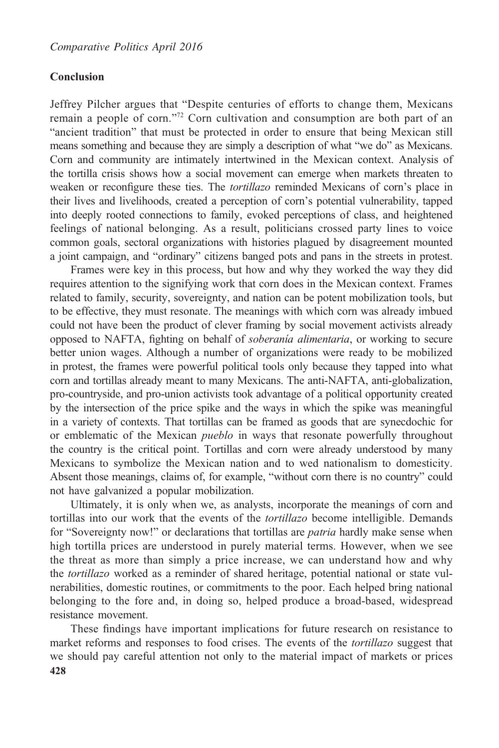# Conclusion

Jeffrey Pilcher argues that "Despite centuries of efforts to change them, Mexicans remain a people of corn."<sup>72</sup> Corn cultivation and consumption are both part of an "ancient tradition" that must be protected in order to ensure that being Mexican still means something and because they are simply a description of what "we do" as Mexicans. Corn and community are intimately intertwined in the Mexican context. Analysis of the tortilla crisis shows how a social movement can emerge when markets threaten to weaken or reconfigure these ties. The *tortillazo* reminded Mexicans of corn's place in their lives and livelihoods, created a perception of corn's potential vulnerability, tapped into deeply rooted connections to family, evoked perceptions of class, and heightened feelings of national belonging. As a result, politicians crossed party lines to voice common goals, sectoral organizations with histories plagued by disagreement mounted a joint campaign, and "ordinary" citizens banged pots and pans in the streets in protest.

Frames were key in this process, but how and why they worked the way they did requires attention to the signifying work that corn does in the Mexican context. Frames related to family, security, sovereignty, and nation can be potent mobilization tools, but to be effective, they must resonate. The meanings with which corn was already imbued could not have been the product of clever framing by social movement activists already opposed to NAFTA, fighting on behalf of soberanía alimentaria, or working to secure better union wages. Although a number of organizations were ready to be mobilized in protest, the frames were powerful political tools only because they tapped into what corn and tortillas already meant to many Mexicans. The anti-NAFTA, anti-globalization, pro-countryside, and pro-union activists took advantage of a political opportunity created by the intersection of the price spike and the ways in which the spike was meaningful in a variety of contexts. That tortillas can be framed as goods that are synecdochic for or emblematic of the Mexican *pueblo* in ways that resonate powerfully throughout the country is the critical point. Tortillas and corn were already understood by many Mexicans to symbolize the Mexican nation and to wed nationalism to domesticity. Absent those meanings, claims of, for example, "without corn there is no country" could not have galvanized a popular mobilization.

Ultimately, it is only when we, as analysts, incorporate the meanings of corn and tortillas into our work that the events of the *tortillazo* become intelligible. Demands for "Sovereignty now!" or declarations that tortillas are *patria* hardly make sense when high tortilla prices are understood in purely material terms. However, when we see the threat as more than simply a price increase, we can understand how and why the *tortillazo* worked as a reminder of shared heritage, potential national or state vulnerabilities, domestic routines, or commitments to the poor. Each helped bring national belonging to the fore and, in doing so, helped produce a broad-based, widespread resistance movement.

These findings have important implications for future research on resistance to market reforms and responses to food crises. The events of the *tortillazo* suggest that we should pay careful attention not only to the material impact of markets or prices 428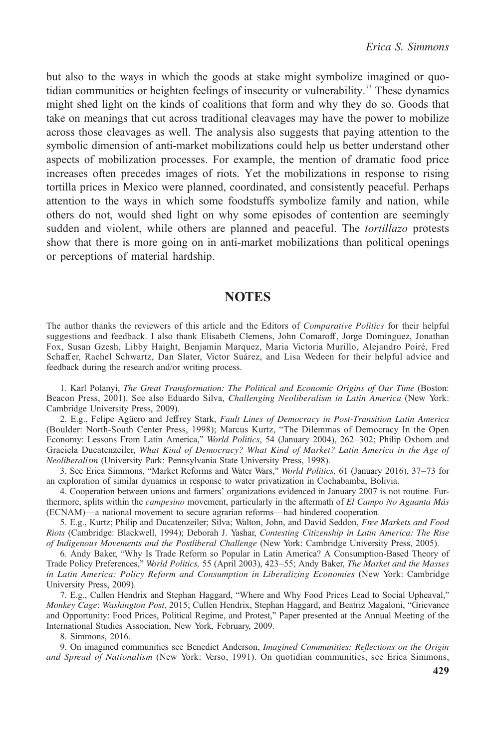but also to the ways in which the goods at stake might symbolize imagined or quotidian communities or heighten feelings of insecurity or vulnerability.<sup>73</sup> These dynamics might shed light on the kinds of coalitions that form and why they do so. Goods that take on meanings that cut across traditional cleavages may have the power to mobilize across those cleavages as well. The analysis also suggests that paying attention to the symbolic dimension of anti-market mobilizations could help us better understand other aspects of mobilization processes. For example, the mention of dramatic food price increases often precedes images of riots. Yet the mobilizations in response to rising tortilla prices in Mexico were planned, coordinated, and consistently peaceful. Perhaps attention to the ways in which some foodstuffs symbolize family and nation, while others do not, would shed light on why some episodes of contention are seemingly sudden and violent, while others are planned and peaceful. The *tortillazo* protests show that there is more going on in anti-market mobilizations than political openings or perceptions of material hardship.

# **NOTES**

The author thanks the reviewers of this article and the Editors of Comparative Politics for their helpful suggestions and feedback. I also thank Elisabeth Clemens, John Comaroff, Jorge Domínguez, Jonathan Fox, Susan Gzesh, Libby Haight, Benjamin Marquez, Maria Victoria Murillo, Alejandro Poiré, Fred Schaffer, Rachel Schwartz, Dan Slater, Victor Suárez, and Lisa Wedeen for their helpful advice and feedback during the research and/or writing process.

1. Karl Polanyi, The Great Transformation: The Political and Economic Origins of Our Time (Boston: Beacon Press, 2001). See also Eduardo Silva, Challenging Neoliberalism in Latin America (New York: Cambridge University Press, 2009).

2. E.g., Felipe Agüero and Jeffrey Stark, Fault Lines of Democracy in Post-Transition Latin America (Boulder: North-South Center Press, 1998); Marcus Kurtz, "The Dilemmas of Democracy In the Open Economy: Lessons From Latin America," World Politics, 54 (January 2004), 262–302; Philip Oxhorn and Graciela Ducatenzeiler, What Kind of Democracy? What Kind of Market? Latin America in the Age of Neoliberalism (University Park: Pennsylvania State University Press, 1998).

3. See Erica Simmons, "Market Reforms and Water Wars," World Politics, 61 (January 2016), 37–73 for an exploration of similar dynamics in response to water privatization in Cochabamba, Bolivia.

4. Cooperation between unions and farmers' organizations evidenced in January 2007 is not routine. Furthermore, splits within the *campesino* movement, particularly in the aftermath of El Campo No Aguanta Más (ECNAM)—a national movement to secure agrarian reforms—had hindered cooperation.

5. E.g., Kurtz; Philip and Ducatenzeiler; Silva; Walton, John, and David Seddon, Free Markets and Food Riots (Cambridge: Blackwell, 1994); Deborah J. Yashar, Contesting Citizenship in Latin America: The Rise of Indigenous Movements and the Postliberal Challenge (New York: Cambridge University Press, 2005).

6. Andy Baker, "Why Is Trade Reform so Popular in Latin America? A Consumption-Based Theory of Trade Policy Preferences," World Politics, 55 (April 2003), 423–55; Andy Baker, The Market and the Masses in Latin America: Policy Reform and Consumption in Liberalizing Economies (New York: Cambridge University Press, 2009).

7. E.g., Cullen Hendrix and Stephan Haggard, "Where and Why Food Prices Lead to Social Upheaval," Monkey Cage: Washington Post, 2015; Cullen Hendrix, Stephan Haggard, and Beatriz Magaloni, "Grievance and Opportunity: Food Prices, Political Regime, and Protest," Paper presented at the Annual Meeting of the International Studies Association, New York, February, 2009.

8. Simmons, 2016.

9. On imagined communities see Benedict Anderson, Imagined Communities: Reflections on the Origin and Spread of Nationalism (New York: Verso, 1991). On quotidian communities, see Erica Simmons,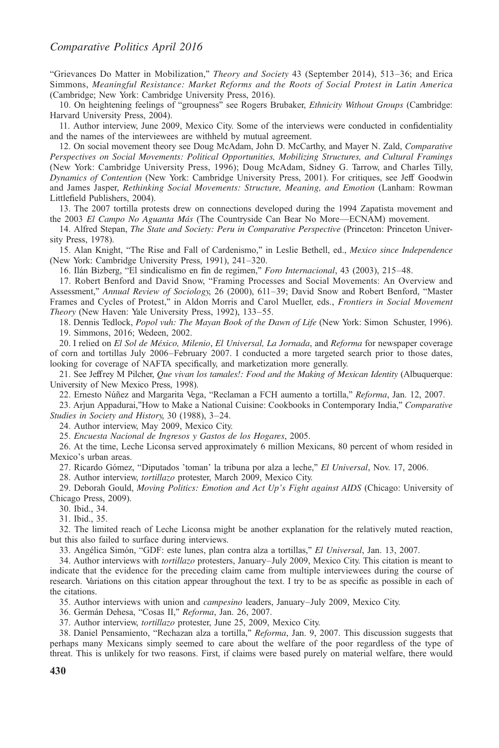"Grievances Do Matter in Mobilization," Theory and Society 43 (September 2014), 513–36; and Erica Simmons, Meaningful Resistance: Market Reforms and the Roots of Social Protest in Latin America (Cambridge; New York: Cambridge University Press, 2016).

10. On heightening feelings of "groupness" see Rogers Brubaker, Ethnicity Without Groups (Cambridge: Harvard University Press, 2004).

11. Author interview, June 2009, Mexico City. Some of the interviews were conducted in confidentiality and the names of the interviewees are withheld by mutual agreement.

12. On social movement theory see Doug McAdam, John D. McCarthy, and Mayer N. Zald, Comparative Perspectives on Social Movements: Political Opportunities, Mobilizing Structures, and Cultural Framings (New York: Cambridge University Press, 1996); Doug McAdam, Sidney G. Tarrow, and Charles Tilly, Dynamics of Contention (New York: Cambridge University Press, 2001). For critiques, see Jeff Goodwin and James Jasper, Rethinking Social Movements: Structure, Meaning, and Emotion (Lanham: Rowman Littlefield Publishers, 2004).

13. The 2007 tortilla protests drew on connections developed during the 1994 Zapatista movement and the 2003 El Campo No Aguanta Más (The Countryside Can Bear No More—ECNAM) movement.

14. Alfred Stepan, The State and Society: Peru in Comparative Perspective (Princeton: Princeton University Press, 1978).

15. Alan Knight, "The Rise and Fall of Cardenismo," in Leslie Bethell, ed., Mexico since Independence (New York: Cambridge University Press, 1991), 241–320.

16. Ilán Bizberg, "El sindicalismo en fin de regimen," Foro Internacional, 43 (2003), 215–48.

17. Robert Benford and David Snow, "Framing Processes and Social Movements: An Overview and Assessment," Annual Review of Sociology, 26 (2000), 611-39; David Snow and Robert Benford, "Master Frames and Cycles of Protest," in Aldon Morris and Carol Mueller, eds., Frontiers in Social Movement Theory (New Haven: Yale University Press, 1992), 133–55.

18. Dennis Tedlock, Popol vuh: The Mayan Book of the Dawn of Life (New York: Simon Schuster, 1996). 19. Simmons, 2016; Wedeen, 2002.

20. I relied on El Sol de México, Milenio, El Universal, La Jornada, and Reforma for newspaper coverage of corn and tortillas July 2006–February 2007. I conducted a more targeted search prior to those dates, looking for coverage of NAFTA specifically, and marketization more generally.

21. See Jeffrey M Pilcher, Que vivan los tamales!: Food and the Making of Mexican Identity (Albuquerque: University of New Mexico Press, 1998).

22. Ernesto Núñez and Margarita Vega, "Reclaman a FCH aumento a tortilla," Reforma, Jan. 12, 2007.

23. Arjun Appadurai,"How to Make a National Cuisine: Cookbooks in Contemporary India," Comparative Studies in Society and History, 30 (1988), 3–24.

24. Author interview, May 2009, Mexico City.

25. Encuesta Nacional de Ingresos y Gastos de los Hogares, 2005.

26. At the time, Leche Liconsa served approximately 6 million Mexicans, 80 percent of whom resided in Mexico's urban areas.

27. Ricardo Gómez, "Diputados 'toman' la tribuna por alza a leche," El Universal, Nov. 17, 2006.

28. Author interview, tortillazo protester, March 2009, Mexico City.

29. Deborah Gould, Moving Politics: Emotion and Act Up's Fight against AIDS (Chicago: University of Chicago Press, 2009).

30. Ibid., 34.

31. Ibid., 35.

32. The limited reach of Leche Liconsa might be another explanation for the relatively muted reaction, but this also failed to surface during interviews.

33. Angélica Simón, "GDF: este lunes, plan contra alza a tortillas," El Universal, Jan. 13, 2007.

34. Author interviews with tortillazo protesters, January–July 2009, Mexico City. This citation is meant to indicate that the evidence for the preceding claim came from multiple interviewees during the course of research. Variations on this citation appear throughout the text. I try to be as specific as possible in each of the citations.

35. Author interviews with union and campesino leaders, January–July 2009, Mexico City.

36. Germán Dehesa, "Cosas II," Reforma, Jan. 26, 2007.

37. Author interview, tortillazo protester, June 25, 2009, Mexico City.

38. Daniel Pensamiento, "Rechazan alza a tortilla," Reforma, Jan. 9, 2007. This discussion suggests that perhaps many Mexicans simply seemed to care about the welfare of the poor regardless of the type of threat. This is unlikely for two reasons. First, if claims were based purely on material welfare, there would